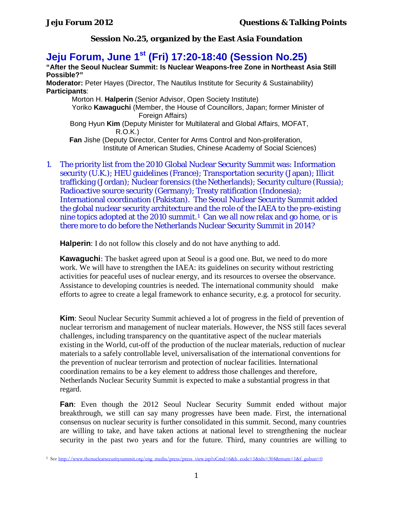**Jeju Forum, June 1st (Fri) 17:20-18:40 (Session No.25)**

**"After the Seoul Nuclear Summit: Is Nuclear Weapons-free Zone in Northeast Asia Still Possible?"**

**Moderator:** Peter Hayes (Director, The Nautilus Institute for Security & Sustainability) **Participants**:

Morton H. **Halperin** (Senior Advisor, Open Society Institute) Yoriko **Kawaguchi** (Member, the House of Councillors, Japan; former Minister of Foreign Affairs) Bong Hyun **Kim** (Deputy Minister for Multilateral and Global Affairs, MOFAT, R.O.K.) **Fan** Jishe (Deputy Director, Center for Arms Control and Non-proliferation, Institute of American Studies, Chinese Academy of Social Sciences)

1. The priority list from the 2010 Global Nuclear Security Summit was: Information security (U.K.); HEU guidelines (France); Transportation security (Japan); Illicit trafficking (Jordan); Nuclear forensics (the Netherlands); Security culture (Russia); Radioactive source security (Germany); Treaty ratification (Indonesia); International coordination (Pakistan). The Seoul Nuclear Security Summit added the global nuclear security architecture and the role of the IAEA to the pre-existing nine topics adopted at the 2010 summit.<sup>1</sup> Can we all now relax and go home, or is there more to do before the Netherlands Nuclear Security Summit in 2014?

**Halperin**: I do not follow this closely and do not have anything to add.

**Kawaguchi**: The basket agreed upon at Seoul is a good one. But, we need to do more work. We will have to strengthen the IAEA: its guidelines on security without restricting activities for peaceful uses of nuclear energy, and its resources to oversee the observance. Assistance to developing countries is needed. The international community should make efforts to agree to create a legal framework to enhance security, e.g. a protocol for security.

**Kim**: Seoul Nuclear Security Summit achieved a lot of progress in the field of prevention of nuclear terrorism and management of nuclear materials. However, the NSS still faces several challenges, including transparency on the quantitative aspect of the nuclear materials existing in the World, cut-off of the production of the nuclear materials, reduction of nuclear materials to a safely controllable level, universalisation of the international conventions for the prevention of nuclear terrorism and protection of nuclear facilities. International coordination remains to be a key element to address those challenges and therefore, Netherlands Nuclear Security Summit is expected to make a substantial progress in that regard.

**Fan**: Even though the 2012 Seoul Nuclear Security Summit ended without major breakthrough, we still can say many progresses have been made. First, the international consensus on nuclear security is further consolidated in this summit. Second, many countries are willing to take, and have taken actions at national level to strengthening the nuclear security in the past two years and for the future. Third, many countries are willing to

<span id="page-0-0"></span><sup>1</sup> See [http://www.thenuclearsecuritysummit.org/eng\\_media/press/press\\_view.jsp?oCmd=6&b\\_code=1&idx=304&rnum=1&f\\_gubun=0](http://www.thenuclearsecuritysummit.org/eng_media/press/press_view.jsp?oCmd=6&b_code=1&idx=304&rnum=1&f_gubun=0)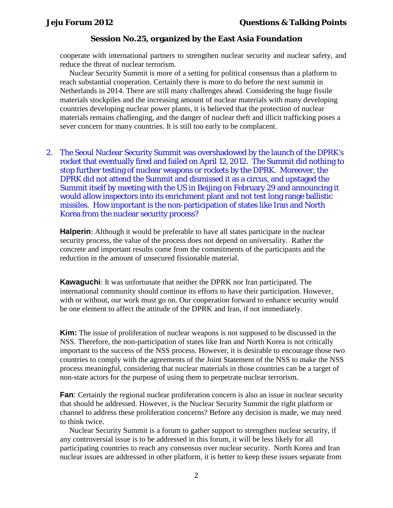cooperate with international partners to strengthen nuclear security and nuclear safety, and reduce the threat of nuclear terrorism.

Nuclear Security Summit is more of a setting for political consensus than a platform to reach substantial cooperation. Certainly there is more to do before the next summit in Netherlands in 2014. There are still many challenges ahead. Considering the huge fissile materials stockpiles and the increasing amount of nuclear materials with many developing countries developing nuclear power plants, it is believed that the protection of nuclear materials remains challenging, and the danger of nuclear theft and illicit trafficking poses a sever concern for many countries. It is still too early to be complacent.

2. The Seoul Nuclear Security Summit was overshadowed by the launch of the DPRK's rocket that eventually fired and failed on April 12, 2012. The Summit did nothing to stop further testing of nuclear weapons or rockets by the DPRK. Moreover, the DPRK did not attend the Summit and dismissed it as a circus, and upstaged the Summit itself by meeting with the US in Beijing on February 29 and announcing it would allow inspectors into its enrichment plant and not test long range ballistic missiles. How important is the non-participation of states like Iran and North Korea from the nuclear security process?

**Halperin**: Although it would be preferable to have all states participate in the nuclear security process, the value of the process does not depend on universality. Rather the concrete and important results come from the commitments of the participants and the reduction in the amount of unsecured fissionable material.

**Kawaguchi**: It was unfortunate that neither the DPRK nor Iran participated. The international community should continue its efforts to have their participation. However, with or without, our work must go on. Our cooperation forward to enhance security would be one element to affect the attitude of the DPRK and Iran, if not immediately.

**Kim:** The issue of proliferation of nuclear weapons is not supposed to be discussed in the NSS. Therefore, the non-participation of states like Iran and North Korea is not critically important to the success of the NSS process. However, it is desirable to encourage those two countries to comply with the agreements of the Joint Statement of the NSS to make the NSS process meaningful, considering that nuclear materials in those countries can be a target of non-state actors for the purpose of using them to perpetrate nuclear terrorism.

**Fan**: Certainly the regional nuclear proliferation concern is also an issue in nuclear security that should be addressed. However, is the Nuclear Security Summit the right platform or channel to address these proliferation concerns? Before any decision is made, we may need to think twice.

Nuclear Security Summit is a forum to gather support to strengthen nuclear security, if any controversial issue is to be addressed in this forum, it will be less likely for all participating countries to reach any consensus over nuclear security. North Korea and Iran nuclear issues are addressed in other platform, it is better to keep these issues separate from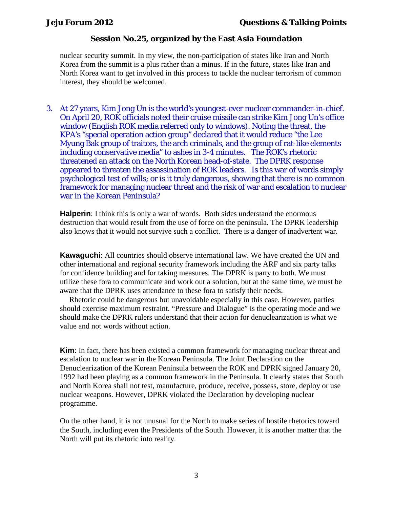nuclear security summit. In my view, the non-participation of states like Iran and North Korea from the summit is a plus rather than a minus. If in the future, states like Iran and North Korea want to get involved in this process to tackle the nuclear terrorism of common interest, they should be welcomed.

3. At 27 years, Kim Jong Un is the world's youngest-ever nuclear commander-in-chief. On April 20, ROK officials noted their cruise missile can strike Kim Jong Un's office window (English ROK media referred only to windows). Noting the threat, the KPA's "special operation action group" declared that it would reduce "the Lee Myung Bak group of traitors, the arch criminals, and the group of rat-like elements including conservative media" to ashes in 3-4 minutes. The ROK's rhetoric threatened an attack on the North Korean head-of-state. The DPRK response appeared to threaten the assassination of ROK leaders. Is this war of words simply psychological test of wills; or is it truly dangerous, showing that there is no common framework for managing nuclear threat and the risk of war and escalation to nuclear war in the Korean Peninsula?

**Halperin**: I think this is only a war of words. Both sides understand the enormous destruction that would result from the use of force on the peninsula. The DPRK leadership also knows that it would not survive such a conflict. There is a danger of inadvertent war.

**Kawaguchi**: All countries should observe international law. We have created the UN and other international and regional security framework including the ARF and six party talks for confidence building and for taking measures. The DPRK is party to both. We must utilize these fora to communicate and work out a solution, but at the same time, we must be aware that the DPRK uses attendance to these fora to satisfy their needs.

Rhetoric could be dangerous but unavoidable especially in this case. However, parties should exercise maximum restraint. "Pressure and Dialogue" is the operating mode and we should make the DPRK rulers understand that their action for denuclearization is what we value and not words without action.

**Kim**: In fact, there has been existed a common framework for managing nuclear threat and escalation to nuclear war in the Korean Peninsula. The Joint Declaration on the Denuclearization of the Korean Peninsula between the ROK and DPRK signed January 20, 1992 had been playing as a common framework in the Peninsula. It clearly states that South and North Korea shall not test, manufacture, produce, receive, possess, store, deploy or use nuclear weapons. However, DPRK violated the Declaration by developing nuclear programme.

On the other hand, it is not unusual for the North to make series of hostile rhetorics toward the South, including even the Presidents of the South. However, it is another matter that the North will put its rhetoric into reality.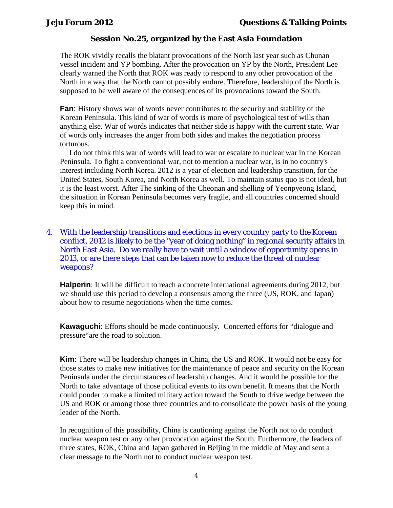The ROK vividly recalls the blatant provocations of the North last year such as Chunan vessel incident and YP bombing. After the provocation on YP by the North, President Lee clearly warned the North that ROK was ready to respond to any other provocation of the North in a way that the North cannot possibly endure. Therefore, leadership of the North is supposed to be well aware of the consequences of its provocations toward the South.

**Fan**: History shows war of words never contributes to the security and stability of the Korean Peninsula. This kind of war of words is more of psychological test of wills than anything else. War of words indicates that neither side is happy with the current state. War of words only increases the anger from both sides and makes the negotiation process torturous.

I do not think this war of words will lead to war or escalate to nuclear war in the Korean Peninsula. To fight a conventional war, not to mention a nuclear war, is in no country's interest including North Korea. 2012 is a year of election and leadership transition, for the United States, South Korea, and North Korea as well. To maintain status quo is not ideal, but it is the least worst. After The sinking of the Cheonan and shelling of Yeonpyeong Island, the situation in Korean Peninsula becomes very fragile, and all countries concerned should keep this in mind.

## 4. With the leadership transitions and elections in every country party to the Korean conflict, 2012 is likely to be the "year of doing nothing" in regional security affairs in North East Asia. Do we really have to wait until a window of opportunity opens in 2013, or are there steps that can be taken now to reduce the threat of nuclear weapons?

**Halperin**: It will be difficult to reach a concrete international agreements during 2012, but we should use this period to develop a consensus among the three (US, ROK, and Japan) about how to resume negotiations when the time comes.

**Kawaguchi**: Efforts should be made continuously. Concerted efforts for "dialogue and pressure"are the road to solution.

**Kim**: There will be leadership changes in China, the US and ROK. It would not be easy for those states to make new initiatives for the maintenance of peace and security on the Korean Peninsula under the circumstances of leadership changes. And it would be possible for the North to take advantage of those political events to its own benefit. It means that the North could ponder to make a limited military action toward the South to drive wedge between the US and ROK or among those three countries and to consolidate the power basis of the young leader of the North.

In recognition of this possibility, China is cautioning against the North not to do conduct nuclear weapon test or any other provocation against the South. Furthermore, the leaders of three states, ROK, China and Japan gathered in Beijing in the middle of May and sent a clear message to the North not to conduct nuclear weapon test.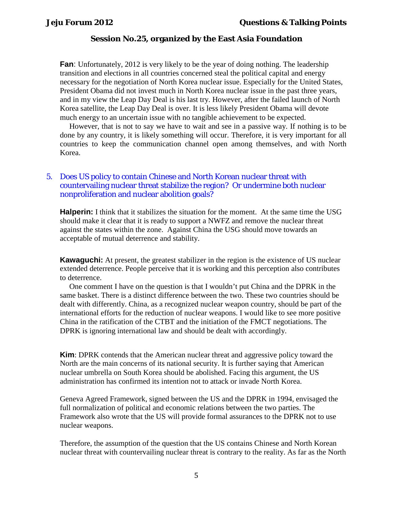**Fan**: Unfortunately, 2012 is very likely to be the year of doing nothing. The leadership transition and elections in all countries concerned steal the political capital and energy necessary for the negotiation of North Korea nuclear issue. Especially for the United States, President Obama did not invest much in North Korea nuclear issue in the past three years, and in my view the Leap Day Deal is his last try. However, after the failed launch of North Korea satellite, the Leap Day Deal is over. It is less likely President Obama will devote much energy to an uncertain issue with no tangible achievement to be expected.

However, that is not to say we have to wait and see in a passive way. If nothing is to be done by any country, it is likely something will occur. Therefore, it is very important for all countries to keep the communication channel open among themselves, and with North Korea.

## 5. Does US policy to contain Chinese and North Korean nuclear threat with countervailing nuclear threat stabilize the region? Or undermine both nuclear nonproliferation and nuclear abolition goals?

**Halperin:** I think that it stabilizes the situation for the moment. At the same time the USG should make it clear that it is ready to support a NWFZ and remove the nuclear threat against the states within the zone. Against China the USG should move towards an acceptable of mutual deterrence and stability.

**Kawaguchi:** At present, the greatest stabilizer in the region is the existence of US nuclear extended deterrence. People perceive that it is working and this perception also contributes to deterrence.

One comment I have on the question is that I wouldn't put China and the DPRK in the same basket. There is a distinct difference between the two. These two countries should be dealt with differently. China, as a recognized nuclear weapon country, should be part of the international efforts for the reduction of nuclear weapons. I would like to see more positive China in the ratification of the CTBT and the initiation of the FMCT negotiations. The DPRK is ignoring international law and should be dealt with accordingly.

**Kim**: DPRK contends that the American nuclear threat and aggressive policy toward the North are the main concerns of its national security. It is further saying that American nuclear umbrella on South Korea should be abolished. Facing this argument, the US administration has confirmed its intention not to attack or invade North Korea.

Geneva Agreed Framework, signed between the US and the DPRK in 1994, envisaged the full normalization of political and economic relations between the two parties. The Framework also wrote that the US will provide formal assurances to the DPRK not to use nuclear weapons.

Therefore, the assumption of the question that the US contains Chinese and North Korean nuclear threat with countervailing nuclear threat is contrary to the reality. As far as the North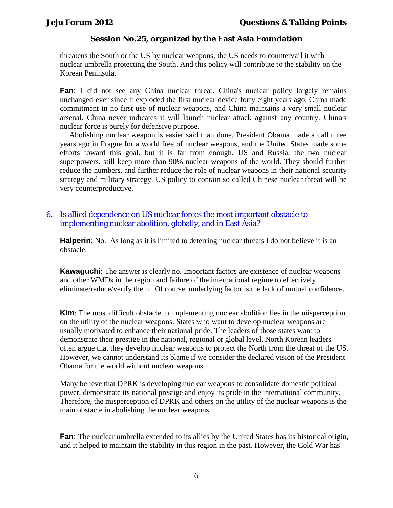threatens the South or the US by nuclear weapons, the US needs to countervail it with nuclear umbrella protecting the South. And this policy will contribute to the stability on the Korean Peninsula.

**Fan**: I did not see any China nuclear threat. China's nuclear policy largely remains unchanged ever since it exploded the first nuclear device forty eight years ago. China made commitment in no first use of nuclear weapons, and China maintains a very small nuclear arsenal. China never indicates it will launch nuclear attack against any country. China's nuclear force is purely for defensive purpose.

Abolishing nuclear weapon is easier said than done. President Obama made a call three years ago in Prague for a world free of nuclear weapons, and the United States made some efforts toward this goal, but it is far from enough. US and Russia, the two nuclear superpowers, still keep more than 90% nuclear weapons of the world. They should further reduce the numbers, and further reduce the role of nuclear weapons in their national security strategy and military strategy. US policy to contain so called Chinese nuclear threat will be very counterproductive.

## 6. Is allied dependence on US nuclear forces the most important obstacle to implementing nuclear abolition, globally, and in East Asia?

**Halperin**: No. As long as it is limited to deterring nuclear threats I do not believe it is an obstacle.

**Kawaguchi**: The answer is clearly no. Important factors are existence of nuclear weapons and other WMDs in the region and failure of the international regime to effectively eliminate/reduce/verify them. Of course, underlying factor is the lack of mutual confidence.

**Kim**: The most difficult obstacle to implementing nuclear abolition lies in the misperception on the utility of the nuclear weapons. States who want to develop nuclear weapons are usually motivated to enhance their national pride. The leaders of those states want to demonstrate their prestige in the national, regional or global level. North Korean leaders often argue that they develop nuclear weapons to protect the North from the threat of the US. However, we cannot understand its blame if we consider the declared vision of the President Obama for the world without nuclear weapons.

Many believe that DPRK is developing nuclear weapons to consolidate domestic political power, demonstrate its national prestige and enjoy its pride in the international community. Therefore, the misperception of DPRK and others on the utility of the nuclear weapons is the main obstacle in abolishing the nuclear weapons.

**Fan**: The nuclear umbrella extended to its allies by the United States has its historical origin, and it helped to maintain the stability in this region in the past. However, the Cold War has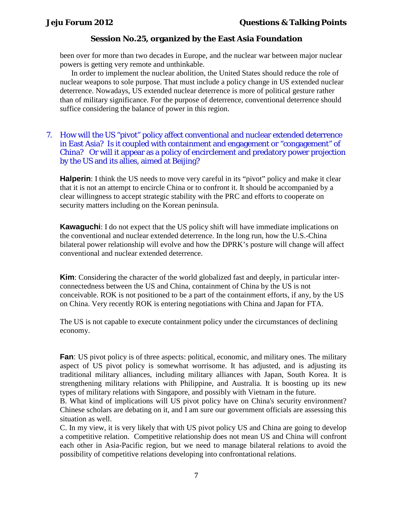been over for more than two decades in Europe, and the nuclear war between major nuclear powers is getting very remote and unthinkable.

In order to implement the nuclear abolition, the United States should reduce the role of nuclear weapons to sole purpose. That must include a policy change in US extended nuclear deterrence. Nowadays, US extended nuclear deterrence is more of political gesture rather than of military significance. For the purpose of deterrence, conventional deterrence should suffice considering the balance of power in this region.

## 7. How will the US "pivot" policy affect conventional and nuclear extended deterrence in East Asia? Is it coupled with containment and engagement or "congagement" of China? Or will it appear as a policy of encirclement and predatory power projection by the US and its allies, aimed at Beijing?

**Halperin**: I think the US needs to move very careful in its "pivot" policy and make it clear that it is not an attempt to encircle China or to confront it. It should be accompanied by a clear willingness to accept strategic stability with the PRC and efforts to cooperate on security matters including on the Korean peninsula.

**Kawaguchi**: I do not expect that the US policy shift will have immediate implications on the conventional and nuclear extended deterrence. In the long run, how the U.S.-China bilateral power relationship will evolve and how the DPRK's posture will change will affect conventional and nuclear extended deterrence.

**Kim**: Considering the character of the world globalized fast and deeply, in particular interconnectedness between the US and China, containment of China by the US is not conceivable. ROK is not positioned to be a part of the containment efforts, if any, by the US on China. Very recently ROK is entering negotiations with China and Japan for FTA.

The US is not capable to execute containment policy under the circumstances of declining economy.

**Fan**: US pivot policy is of three aspects: political, economic, and military ones. The military aspect of US pivot policy is somewhat worrisome. It has adjusted, and is adjusting its traditional military alliances, including military alliances with Japan, South Korea. It is strengthening military relations with Philippine, and Australia. It is boosting up its new types of military relations with Singapore, and possibly with Vietnam in the future.

B. What kind of implications will US pivot policy have on China's security environment? Chinese scholars are debating on it, and I am sure our government officials are assessing this situation as well.

C. In my view, it is very likely that with US pivot policy US and China are going to develop a competitive relation. Competitive relationship does not mean US and China will confront each other in Asia-Pacific region, but we need to manage bilateral relations to avoid the possibility of competitive relations developing into confrontational relations.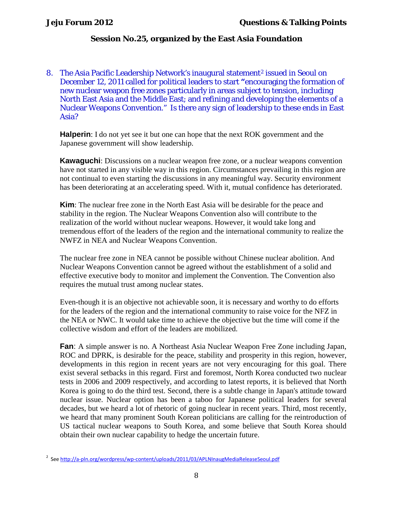8. The Asia Pacific Leadership Network's inaugural statement<sup>[2](#page-7-0)</sup> issued in Seoul on December 12, 2011 called for political leaders to start **"**encouraging the formation of new nuclear weapon free zones particularly in areas subject to tension, including North East Asia and the Middle East; and refining and developing the elements of a Nuclear Weapons Convention." Is there any sign of leadership to these ends in East Asia?

**Halperin**: I do not yet see it but one can hope that the next ROK government and the Japanese government will show leadership.

**Kawaguchi**: Discussions on a nuclear weapon free zone, or a nuclear weapons convention have not started in any visible way in this region. Circumstances prevailing in this region are not continual to even starting the discussions in any meaningful way. Security environment has been deteriorating at an accelerating speed. With it, mutual confidence has deteriorated.

**Kim**: The nuclear free zone in the North East Asia will be desirable for the peace and stability in the region. The Nuclear Weapons Convention also will contribute to the realization of the world without nuclear weapons. However, it would take long and tremendous effort of the leaders of the region and the international community to realize the NWFZ in NEA and Nuclear Weapons Convention.

The nuclear free zone in NEA cannot be possible without Chinese nuclear abolition. And Nuclear Weapons Convention cannot be agreed without the establishment of a solid and effective executive body to monitor and implement the Convention. The Convention also requires the mutual trust among nuclear states.

Even-though it is an objective not achievable soon, it is necessary and worthy to do efforts for the leaders of the region and the international community to raise voice for the NFZ in the NEA or NWC. It would take time to achieve the objective but the time will come if the collective wisdom and effort of the leaders are mobilized.

**Fan**: A simple answer is no. A Northeast Asia Nuclear Weapon Free Zone including Japan, ROC and DPRK, is desirable for the peace, stability and prosperity in this region, however, developments in this region in recent years are not very encouraging for this goal. There exist several setbacks in this regard. First and foremost, North Korea conducted two nuclear tests in 2006 and 2009 respectively, and according to latest reports, it is believed that North Korea is going to do the third test. Second, there is a subtle change in Japan's attitude toward nuclear issue. Nuclear option has been a taboo for Japanese political leaders for several decades, but we heard a lot of rhetoric of going nuclear in recent years. Third, most recently, we heard that many prominent South Korean politicians are calling for the reintroduction of US tactical nuclear weapons to South Korea, and some believe that South Korea should obtain their own nuclear capability to hedge the uncertain future.

<span id="page-7-0"></span><sup>&</sup>lt;sup>2</sup> Se[e http://a-pln.org/wordpress/wp-content/uploads/2011/03/APLNInaugMediaReleaseSeoul.pdf](http://a-pln.org/wordpress/wp-content/uploads/2011/03/APLNInaugMediaReleaseSeoul.pdf)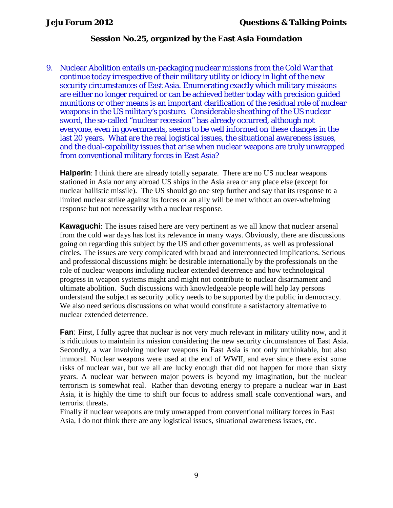9. Nuclear Abolition entails un-packaging nuclear missions from the Cold War that continue today irrespective of their military utility or idiocy in light of the new security circumstances of East Asia. Enumerating exactly which military missions are either no longer required or can be achieved better today with precision guided munitions or other means is an important clarification of the residual role of nuclear weapons in the US military's posture. Considerable sheathing of the US nuclear sword, the so-called "nuclear recession" has already occurred, although not everyone, even in governments, seems to be well informed on these changes in the last 20 years. What are the real logistical issues, the situational awareness issues, and the dual-capability issues that arise when nuclear weapons are truly unwrapped from conventional military forces in East Asia?

**Halperin**: I think there are already totally separate. There are no US nuclear weapons stationed in Asia nor any abroad US ships in the Asia area or any place else (except for nuclear ballistic missile). The US should go one step further and say that its response to a limited nuclear strike against its forces or an ally will be met without an over-whelming response but not necessarily with a nuclear response.

**Kawaguchi**: The issues raised here are very pertinent as we all know that nuclear arsenal from the cold war days has lost its relevance in many ways. Obviously, there are discussions going on regarding this subject by the US and other governments, as well as professional circles. The issues are very complicated with broad and interconnected implications. Serious and professional discussions might be desirable internationally by the professionals on the role of nuclear weapons including nuclear extended deterrence and how technological progress in weapon systems might and might not contribute to nuclear disarmament and ultimate abolition. Such discussions with knowledgeable people will help lay persons understand the subject as security policy needs to be supported by the public in democracy. We also need serious discussions on what would constitute a satisfactory alternative to nuclear extended deterrence.

**Fan**: First, I fully agree that nuclear is not very much relevant in military utility now, and it is ridiculous to maintain its mission considering the new security circumstances of East Asia. Secondly, a war involving nuclear weapons in East Asia is not only unthinkable, but also immoral. Nuclear weapons were used at the end of WWII, and ever since there exist some risks of nuclear war, but we all are lucky enough that did not happen for more than sixty years. A nuclear war between major powers is beyond my imagination, but the nuclear terrorism is somewhat real. Rather than devoting energy to prepare a nuclear war in East Asia, it is highly the time to shift our focus to address small scale conventional wars, and terrorist threats.

Finally if nuclear weapons are truly unwrapped from conventional military forces in East Asia, I do not think there are any logistical issues, situational awareness issues, etc.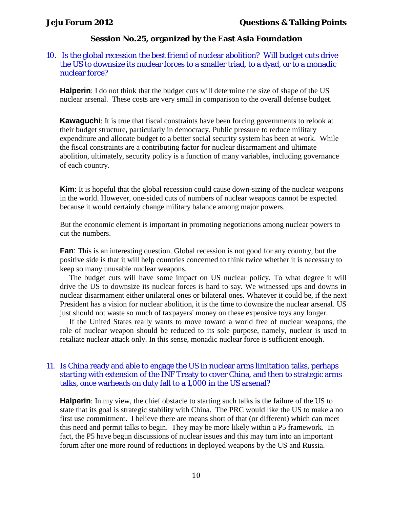### 10. Is the global recession the best friend of nuclear abolition? Will budget cuts drive the US to downsize its nuclear forces to a smaller triad, to a dyad, or to a monadic nuclear force?

**Halperin**: I do not think that the budget cuts will determine the size of shape of the US nuclear arsenal. These costs are very small in comparison to the overall defense budget.

**Kawaguchi**: It is true that fiscal constraints have been forcing governments to relook at their budget structure, particularly in democracy. Public pressure to reduce military expenditure and allocate budget to a better social security system has been at work. While the fiscal constraints are a contributing factor for nuclear disarmament and ultimate abolition, ultimately, security policy is a function of many variables, including governance of each country.

**Kim**: It is hopeful that the global recession could cause down-sizing of the nuclear weapons in the world. However, one-sided cuts of numbers of nuclear weapons cannot be expected because it would certainly change military balance among major powers.

But the economic element is important in promoting negotiations among nuclear powers to cut the numbers.

**Fan**: This is an interesting question. Global recession is not good for any country, but the positive side is that it will help countries concerned to think twice whether it is necessary to keep so many unusable nuclear weapons.

The budget cuts will have some impact on US nuclear policy. To what degree it will drive the US to downsize its nuclear forces is hard to say. We witnessed ups and downs in nuclear disarmament either unilateral ones or bilateral ones. Whatever it could be, if the next President has a vision for nuclear abolition, it is the time to downsize the nuclear arsenal. US just should not waste so much of taxpayers' money on these expensive toys any longer.

If the United States really wants to move toward a world free of nuclear weapons, the role of nuclear weapon should be reduced to its sole purpose, namely, nuclear is used to retaliate nuclear attack only. In this sense, monadic nuclear force is sufficient enough.

### 11. Is China ready and able to engage the US in nuclear arms limitation talks, perhaps starting with extension of the INF Treaty to cover China, and then to strategic arms talks, once warheads on duty fall to a 1,000 in the US arsenal?

**Halperin**: In my view, the chief obstacle to starting such talks is the failure of the US to state that its goal is strategic stability with China. The PRC would like the US to make a no first use commitment. I believe there are means short of that (or different) which can meet this need and permit talks to begin. They may be more likely within a P5 framework. In fact, the P5 have begun discussions of nuclear issues and this may turn into an important forum after one more round of reductions in deployed weapons by the US and Russia.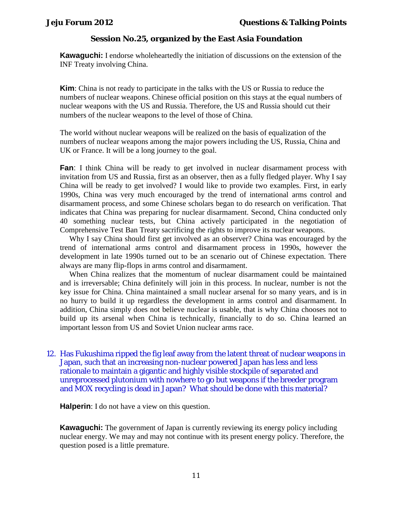**Kawaguchi:** I endorse wholeheartedly the initiation of discussions on the extension of the INF Treaty involving China.

**Kim**: China is not ready to participate in the talks with the US or Russia to reduce the numbers of nuclear weapons. Chinese official position on this stays at the equal numbers of nuclear weapons with the US and Russia. Therefore, the US and Russia should cut their numbers of the nuclear weapons to the level of those of China.

The world without nuclear weapons will be realized on the basis of equalization of the numbers of nuclear weapons among the major powers including the US, Russia, China and UK or France. It will be a long journey to the goal.

**Fan**: I think China will be ready to get involved in nuclear disarmament process with invitation from US and Russia, first as an observer, then as a fully fledged player. Why I say China will be ready to get involved? I would like to provide two examples. First, in early 1990s, China was very much encouraged by the trend of international arms control and disarmament process, and some Chinese scholars began to do research on verification. That indicates that China was preparing for nuclear disarmament. Second, China conducted only 40 something nuclear tests, but China actively participated in the negotiation of Comprehensive Test Ban Treaty sacrificing the rights to improve its nuclear weapons.

Why I say China should first get involved as an observer? China was encouraged by the trend of international arms control and disarmament process in 1990s, however the development in late 1990s turned out to be an scenario out of Chinese expectation. There always are many flip-flops in arms control and disarmament.

When China realizes that the momentum of nuclear disarmament could be maintained and is irreversable; China definitely will join in this process. In nuclear, number is not the key issue for China. China maintained a small nuclear arsenal for so many years, and is in no hurry to build it up regardless the development in arms control and disarmament. In addition, China simply does not believe nuclear is usable, that is why China chooses not to build up its arsenal when China is technically, financially to do so. China learned an important lesson from US and Soviet Union nuclear arms race.

12. Has Fukushima ripped the fig leaf away from the latent threat of nuclear weapons in Japan, such that an increasing non-nuclear powered Japan has less and less rationale to maintain a gigantic and highly visible stockpile of separated and unreprocessed plutonium with nowhere to go but weapons if the breeder program and MOX recycling is dead in Japan? What should be done with this material?

**Halperin**: I do not have a view on this question.

**Kawaguchi:** The government of Japan is currently reviewing its energy policy including nuclear energy. We may and may not continue with its present energy policy. Therefore, the question posed is a little premature.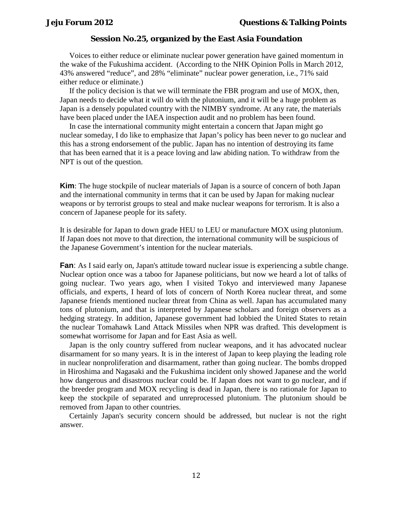Voices to either reduce or eliminate nuclear power generation have gained momentum in the wake of the Fukushima accident. (According to the NHK Opinion Polls in March 2012, 43% answered "reduce", and 28% "eliminate" nuclear power generation, i.e., 71% said either reduce or eliminate.)

If the policy decision is that we will terminate the FBR program and use of MOX, then, Japan needs to decide what it will do with the plutonium, and it will be a huge problem as Japan is a densely populated country with the NIMBY syndrome. At any rate, the materials have been placed under the IAEA inspection audit and no problem has been found.

In case the international community might entertain a concern that Japan might go nuclear someday, I do like to emphasize that Japan's policy has been never to go nuclear and this has a strong endorsement of the public. Japan has no intention of destroying its fame that has been earned that it is a peace loving and law abiding nation. To withdraw from the NPT is out of the question.

**Kim**: The huge stockpile of nuclear materials of Japan is a source of concern of both Japan and the international community in terms that it can be used by Japan for making nuclear weapons or by terrorist groups to steal and make nuclear weapons for terrorism. It is also a concern of Japanese people for its safety.

It is desirable for Japan to down grade HEU to LEU or manufacture MOX using plutonium. If Japan does not move to that direction, the international community will be suspicious of the Japanese Government's intention for the nuclear materials.

**Fan**: As I said early on, Japan's attitude toward nuclear issue is experiencing a subtle change. Nuclear option once was a taboo for Japanese politicians, but now we heard a lot of talks of going nuclear. Two years ago, when I visited Tokyo and interviewed many Japanese officials, and experts, I heard of lots of concern of North Korea nuclear threat, and some Japanese friends mentioned nuclear threat from China as well. Japan has accumulated many tons of plutonium, and that is interpreted by Japanese scholars and foreign observers as a hedging strategy. In addition, Japanese government had lobbied the United States to retain the nuclear Tomahawk Land Attack Missiles when NPR was drafted. This development is somewhat worrisome for Japan and for East Asia as well.

Japan is the only country suffered from nuclear weapons, and it has advocated nuclear disarmament for so many years. It is in the interest of Japan to keep playing the leading role in nuclear nonproliferation and disarmament, rather than going nuclear. The bombs dropped in Hiroshima and Nagasaki and the Fukushima incident only showed Japanese and the world how dangerous and disastrous nuclear could be. If Japan does not want to go nuclear, and if the breeder program and MOX recycling is dead in Japan, there is no rationale for Japan to keep the stockpile of separated and unreprocessed plutonium. The plutonium should be removed from Japan to other countries.

Certainly Japan's security concern should be addressed, but nuclear is not the right answer.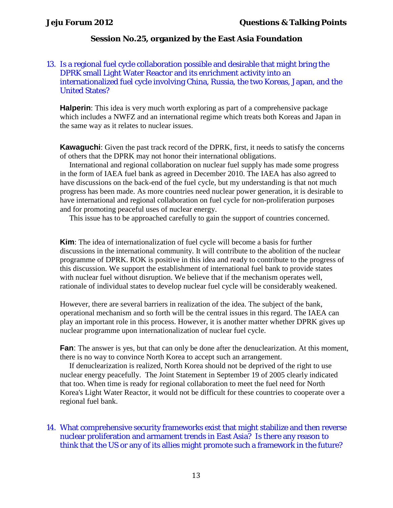## 13. Is a regional fuel cycle collaboration possible and desirable that might bring the DPRK small Light Water Reactor and its enrichment activity into an internationalized fuel cycle involving China, Russia, the two Koreas, Japan, and the United States?

**Halperin**: This idea is very much worth exploring as part of a comprehensive package which includes a NWFZ and an international regime which treats both Koreas and Japan in the same way as it relates to nuclear issues.

**Kawaguchi**: Given the past track record of the DPRK, first, it needs to satisfy the concerns of others that the DPRK may not honor their international obligations.

International and regional collaboration on nuclear fuel supply has made some progress in the form of IAEA fuel bank as agreed in December 2010. The IAEA has also agreed to have discussions on the back-end of the fuel cycle, but my understanding is that not much progress has been made. As more countries need nuclear power generation, it is desirable to have international and regional collaboration on fuel cycle for non-proliferation purposes and for promoting peaceful uses of nuclear energy.

This issue has to be approached carefully to gain the support of countries concerned.

**Kim**: The idea of internationalization of fuel cycle will become a basis for further discussions in the international community. It will contribute to the abolition of the nuclear programme of DPRK. ROK is positive in this idea and ready to contribute to the progress of this discussion. We support the establishment of international fuel bank to provide states with nuclear fuel without disruption. We believe that if the mechanism operates well, rationale of individual states to develop nuclear fuel cycle will be considerably weakened.

However, there are several barriers in realization of the idea. The subject of the bank, operational mechanism and so forth will be the central issues in this regard. The IAEA can play an important role in this process. However, it is another matter whether DPRK gives up nuclear programme upon internationalization of nuclear fuel cycle.

**Fan**: The answer is yes, but that can only be done after the denuclearization. At this moment, there is no way to convince North Korea to accept such an arrangement.

If denuclearization is realized, North Korea should not be deprived of the right to use nuclear energy peacefully. The Joint Statement in September 19 of 2005 clearly indicated that too. When time is ready for regional collaboration to meet the fuel need for North Korea's Light Water Reactor, it would not be difficult for these countries to cooperate over a regional fuel bank.

## 14. What comprehensive security frameworks exist that might stabilize and then reverse nuclear proliferation and armament trends in East Asia? Is there any reason to think that the US or any of its allies might promote such a framework in the future?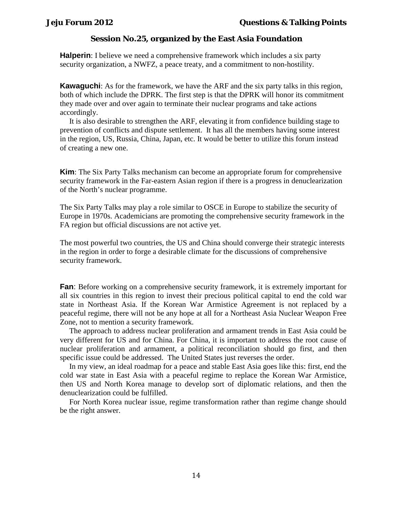**Halperin**: I believe we need a comprehensive framework which includes a six party security organization, a NWFZ, a peace treaty, and a commitment to non-hostility.

**Kawaguchi**: As for the framework, we have the ARF and the six party talks in this region, both of which include the DPRK. The first step is that the DPRK will honor its commitment they made over and over again to terminate their nuclear programs and take actions accordingly.

It is also desirable to strengthen the ARF, elevating it from confidence building stage to prevention of conflicts and dispute settlement. It has all the members having some interest in the region, US, Russia, China, Japan, etc. It would be better to utilize this forum instead of creating a new one.

**Kim**: The Six Party Talks mechanism can become an appropriate forum for comprehensive security framework in the Far-eastern Asian region if there is a progress in denuclearization of the North's nuclear programme.

The Six Party Talks may play a role similar to OSCE in Europe to stabilize the security of Europe in 1970s. Academicians are promoting the comprehensive security framework in the FA region but official discussions are not active yet.

The most powerful two countries, the US and China should converge their strategic interests in the region in order to forge a desirable climate for the discussions of comprehensive security framework.

**Fan**: Before working on a comprehensive security framework, it is extremely important for all six countries in this region to invest their precious political capital to end the cold war state in Northeast Asia. If the Korean War Armistice Agreement is not replaced by a peaceful regime, there will not be any hope at all for a Northeast Asia Nuclear Weapon Free Zone, not to mention a security framework.

The approach to address nuclear proliferation and armament trends in East Asia could be very different for US and for China. For China, it is important to address the root cause of nuclear proliferation and armament, a political reconciliation should go first, and then specific issue could be addressed. The United States just reverses the order.

In my view, an ideal roadmap for a peace and stable East Asia goes like this: first, end the cold war state in East Asia with a peaceful regime to replace the Korean War Armistice, then US and North Korea manage to develop sort of diplomatic relations, and then the denuclearization could be fulfilled.

For North Korea nuclear issue, regime transformation rather than regime change should be the right answer.